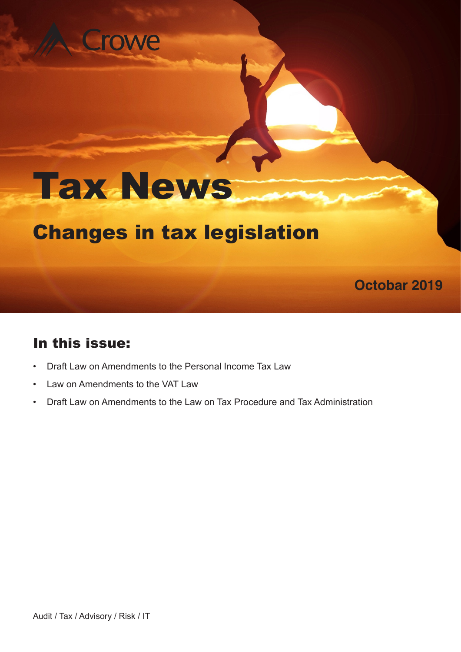## rowe

# Tax News

### Changes in tax legislation

# In this issue:

- Draft Law on Amendments to the Personal Income Tax Law
- Law on Amendments to the VAT Law
- Draft Law on Amendments to the Law on Tax Procedure and Tax Administration

**Octobar 2019**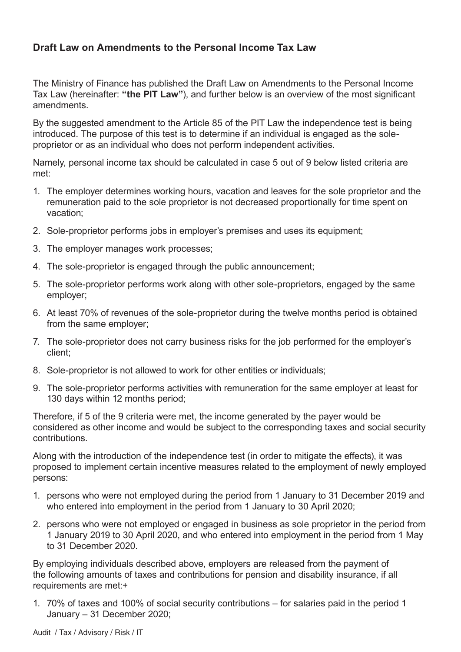#### **Draft Law on Amendments to the Personal Income Tax Law**

The Ministry of Finance has published the Draft Law on Amendments to the Personal Income Tax Law (hereinafter: **"the PIT Law"**), and further below is an overview of the most significant amendments.

By the suggested amendment to the Article 85 of the PIT Law the independence test is being introduced. The purpose of this test is to determine if an individual is engaged as the soleproprietor or as an individual who does not perform independent activities.

Namely, personal income tax should be calculated in case 5 out of 9 below listed criteria are met:

- 1. The employer determines working hours, vacation and leaves for the sole proprietor and the remuneration paid to the sole proprietor is not decreased proportionally for time spent on vacation;
- 2. Sole-proprietor performs jobs in employer's premises and uses its equipment;
- 3. The employer manages work processes;
- 4. The sole-proprietor is engaged through the public announcement;
- 5. The sole-proprietor performs work along with other sole-proprietors, engaged by the same employer;
- 6. At least 70% of revenues of the sole-proprietor during the twelve months period is obtained from the same employer;
- 7. The sole-proprietor does not carry business risks for the job performed for the employer's client;
- 8. Sole-proprietor is not allowed to work for other entities or individuals;
- 9. The sole-proprietor performs activities with remuneration for the same employer at least for 130 days within 12 months period;

Therefore, if 5 of the 9 criteria were met, the income generated by the payer would be considered as other income and would be subject to the corresponding taxes and social security contributions.

Along with the introduction of the independence test (in order to mitigate the effects), it was proposed to implement certain incentive measures related to the employment of newly employed persons:

- 1. persons who were not employed during the period from 1 January to 31 December 2019 and who entered into employment in the period from 1 January to 30 April 2020;
- 2. persons who were not employed or engaged in business as sole proprietor in the period from 1 January 2019 to 30 April 2020, and who entered into employment in the period from 1 May to 31 December 2020.

By employing individuals described above, employers are released from the payment of the following amounts of taxes and contributions for pension and disability insurance, if all requirements are met:+

1. 70% of taxes and 100% of social security contributions – for salaries paid in the period 1 January – 31 December 2020;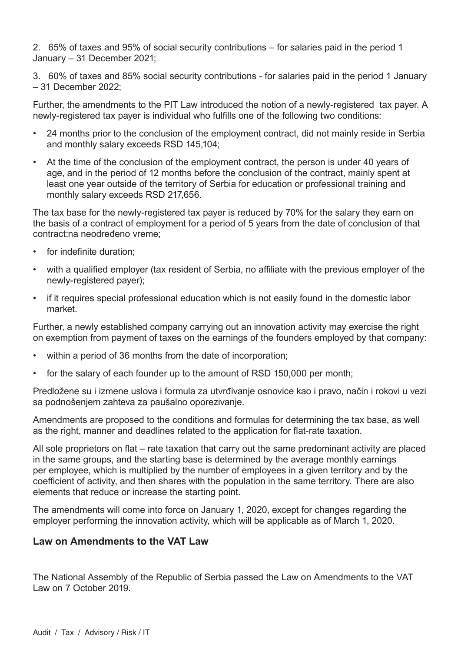2. 65% of taxes and 95% of social security contributions – for salaries paid in the period 1 January – 31 December 2021;

3. 60% of taxes and 85% social security contributions - for salaries paid in the period 1 January – 31 December 2022;

Further, the amendments to the PIT Law introduced the notion of a newly-registered tax payer. A newly-registered tax payer is individual who fulfills one of the following two conditions:

- 24 months prior to the conclusion of the employment contract, did not mainly reside in Serbia and monthly salary exceeds RSD 145,104;
- At the time of the conclusion of the employment contract, the person is under 40 years of age, and in the period of 12 months before the conclusion of the contract, mainly spent at least one year outside of the territory of Serbia for education or professional training and monthly salary exceeds RSD 217,656.

The tax base for the newly-registered tax payer is reduced by 70% for the salary they earn on the basis of a contract of employment for a period of 5 years from the date of conclusion of that contract:na neodređeno vreme;

- for indefinite duration;
- with a qualified employer (tax resident of Serbia, no affiliate with the previous employer of the newly-registered payer);
- if it requires special professional education which is not easily found in the domestic labor market.

Further, a newly established company carrying out an innovation activity may exercise the right on exemption from payment of taxes on the earnings of the founders employed by that company:

- within a period of 36 months from the date of incorporation;
- for the salary of each founder up to the amount of RSD 150,000 per month;

Predložene su i izmene uslova i formula za utvrđivanje osnovice kao i pravo, način i rokovi u vezi sa podnošenjem zahteva za paušalno oporezivanje.

Amendments are proposed to the conditions and formulas for determining the tax base, as well as the right, manner and deadlines related to the application for flat-rate taxation.

All sole proprietors on flat – rate taxation that carry out the same predominant activity are placed in the same groups, and the starting base is determined by the average monthly earnings per employee, which is multiplied by the number of employees in a given territory and by the coefficient of activity, and then shares with the population in the same territory. There are also elements that reduce or increase the starting point.

The amendments will come into force on January 1, 2020, except for changes regarding the employer performing the innovation activity, which will be applicable as of March 1, 2020.

#### **Law on Amendments to the VAT Law**

The National Assembly of the Republic of Serbia passed the Law on Amendments to the VAT Law on 7 October 2019.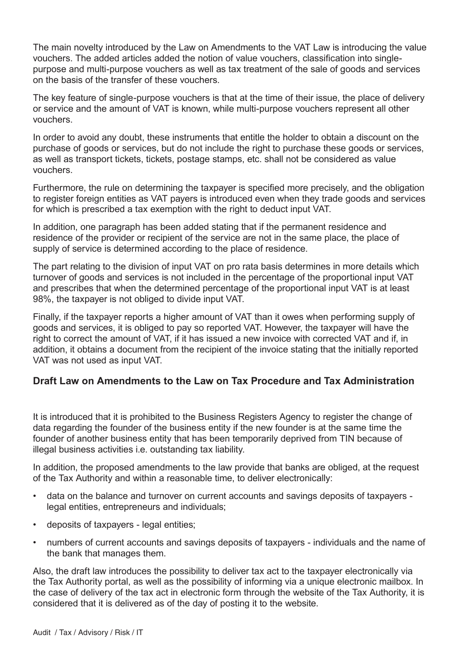The main novelty introduced by the Law on Amendments to the VAT Law is introducing the value vouchers. The added articles added the notion of value vouchers, classification into singlepurpose and multi-purpose vouchers as well as tax treatment of the sale of goods and services on the basis of the transfer of these vouchers.

The key feature of single-purpose vouchers is that at the time of their issue, the place of delivery or service and the amount of VAT is known, while multi-purpose vouchers represent all other vouchers.

In order to avoid any doubt, these instruments that entitle the holder to obtain a discount on the purchase of goods or services, but do not include the right to purchase these goods or services, as well as transport tickets, tickets, postage stamps, etc. shall not be considered as value vouchers.

Furthermore, the rule on determining the taxpayer is specified more precisely, and the obligation to register foreign entities as VAT payers is introduced even when they trade goods and services for which is prescribed a tax exemption with the right to deduct input VAT.

In addition, one paragraph has been added stating that if the permanent residence and residence of the provider or recipient of the service are not in the same place, the place of supply of service is determined according to the place of residence.

The part relating to the division of input VAT on pro rata basis determines in more details which turnover of goods and services is not included in the percentage of the proportional input VAT and prescribes that when the determined percentage of the proportional input VAT is at least 98%, the taxpayer is not obliged to divide input VAT.

Finally, if the taxpayer reports a higher amount of VAT than it owes when performing supply of goods and services, it is obliged to pay so reported VAT. However, the taxpayer will have the right to correct the amount of VAT, if it has issued a new invoice with corrected VAT and if, in addition, it obtains a document from the recipient of the invoice stating that the initially reported VAT was not used as input VAT.

#### **Draft Law on Amendments to the Law on Tax Procedure and Tax Administration**

It is introduced that it is prohibited to the Business Registers Agency to register the change of data regarding the founder of the business entity if the new founder is at the same time the founder of another business entity that has been temporarily deprived from TIN because of illegal business activities i.e. outstanding tax liability.

In addition, the proposed amendments to the law provide that banks are obliged, at the request of the Tax Authority and within a reasonable time, to deliver electronically:

- data on the balance and turnover on current accounts and savings deposits of taxpayers legal entities, entrepreneurs and individuals;
- deposits of taxpayers legal entities;
- numbers of current accounts and savings deposits of taxpayers individuals and the name of the bank that manages them.

Also, the draft law introduces the possibility to deliver tax act to the taxpayer electronically via the Tax Authority portal, as well as the possibility of informing via a unique electronic mailbox. In the case of delivery of the tax act in electronic form through the website of the Tax Authority, it is considered that it is delivered as of the day of posting it to the website.